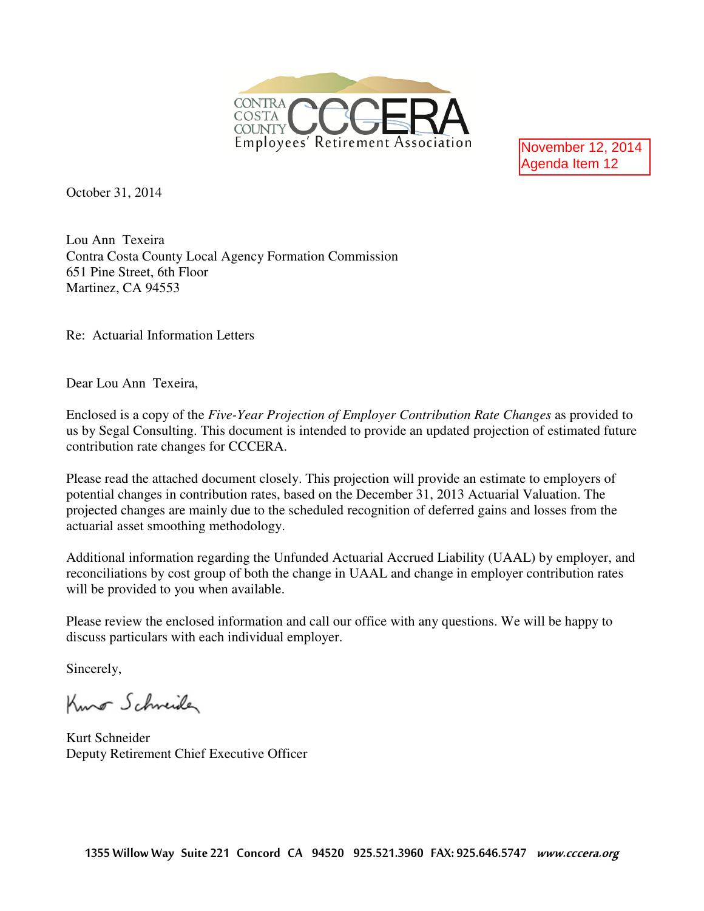

November 12, 2014 Agenda Item 12

October 31, 2014

Lou Ann Texeira Contra Costa County Local Agency Formation Commission 651 Pine Street, 6th Floor Martinez, CA 94553

Re: Actuarial Information Letters

Dear Lou Ann Texeira,

Enclosed is a copy of the *Five-Year Projection of Employer Contribution Rate Changes* as provided to us by Segal Consulting. This document is intended to provide an updated projection of estimated future contribution rate changes for CCCERA.

Please read the attached document closely. This projection will provide an estimate to employers of potential changes in contribution rates, based on the December 31, 2013 Actuarial Valuation. The projected changes are mainly due to the scheduled recognition of deferred gains and losses from the actuarial asset smoothing methodology.

Additional information regarding the Unfunded Actuarial Accrued Liability (UAAL) by employer, and reconciliations by cost group of both the change in UAAL and change in employer contribution rates will be provided to you when available.

Please review the enclosed information and call our office with any questions. We will be happy to discuss particulars with each individual employer.

Sincerely,

Kuno Schneider

Kurt Schneider Deputy Retirement Chief Executive Officer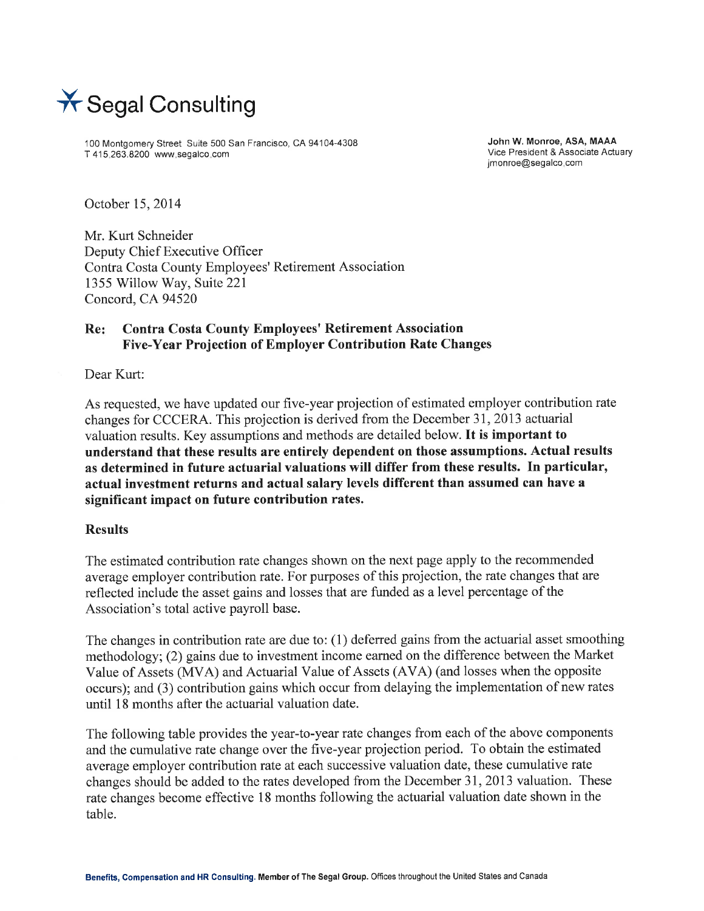

100 Montgomery Street Suite 500 San Francisco, CA 94104-4308 T 415-263.8200 www.segalco.com

John W. Monroe, ASA, MAAA Vice President & Associate Actuary imonroe@segalco.com

October 15, 2014

Mr. Kurt Schneider Deputy Chief Executive Officer Contra Costa County Employees' Retirement Association 1355 Willow Way, Suite 221 Concord, CA 94520

#### **Contra Costa County Employees' Retirement Association** Re: Five-Year Projection of Employer Contribution Rate Changes

Dear Kurt:

As requested, we have updated our five-year projection of estimated employer contribution rate changes for CCCERA. This projection is derived from the December 31, 2013 actuarial valuation results. Key assumptions and methods are detailed below. It is important to understand that these results are entirely dependent on those assumptions. Actual results as determined in future actuarial valuations will differ from these results. In particular, actual investment returns and actual salary levels different than assumed can have a significant impact on future contribution rates.

#### **Results**

The estimated contribution rate changes shown on the next page apply to the recommended average employer contribution rate. For purposes of this projection, the rate changes that are reflected include the asset gains and losses that are funded as a level percentage of the Association's total active payroll base.

The changes in contribution rate are due to: (1) deferred gains from the actuarial asset smoothing methodology; (2) gains due to investment income earned on the difference between the Market Value of Assets (MVA) and Actuarial Value of Assets (AVA) (and losses when the opposite occurs); and (3) contribution gains which occur from delaying the implementation of new rates until 18 months after the actuarial valuation date.

The following table provides the year-to-year rate changes from each of the above components and the cumulative rate change over the five-year projection period. To obtain the estimated average employer contribution rate at each successive valuation date, these cumulative rate changes should be added to the rates developed from the December 31, 2013 valuation. These rate changes become effective 18 months following the actuarial valuation date shown in the table.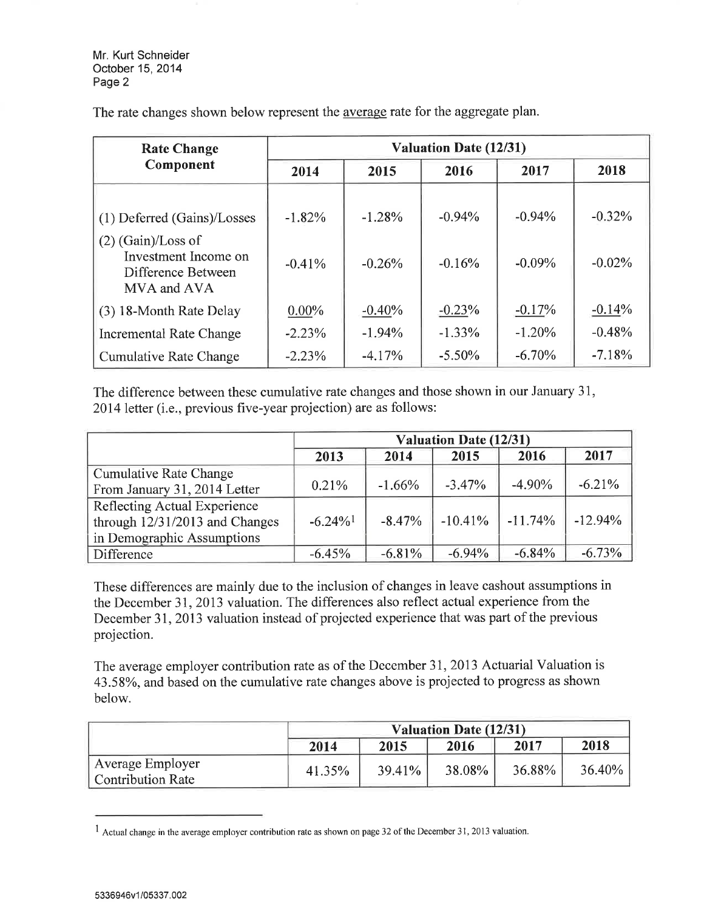Mr. Kurt Schneider October 15, 2014 Page 2

| <b>Rate Change</b>                                                                                               | <b>Valuation Date (12/31)</b> |                      |                      |                      |                      |  |  |  |  |
|------------------------------------------------------------------------------------------------------------------|-------------------------------|----------------------|----------------------|----------------------|----------------------|--|--|--|--|
| Component                                                                                                        | 2014                          | 2015                 | 2016                 | 2017                 | 2018                 |  |  |  |  |
| (1) Deferred (Gains)/Losses<br>$(2)$ (Gain)/Loss of<br>Investment Income on<br>Difference Between<br>MVA and AVA | $-1.82%$<br>$-0.41%$          | $-1.28%$<br>$-0.26%$ | $-0.94%$<br>$-0.16%$ | $-0.94%$<br>$-0.09%$ | $-0.32%$<br>$-0.02%$ |  |  |  |  |
| (3) 18-Month Rate Delay                                                                                          | $0.00\%$                      | $-0.40%$             | $-0.23%$             | $-0.17%$             | $-0.14%$             |  |  |  |  |
| <b>Incremental Rate Change</b>                                                                                   | $-2.23%$                      | $-1.94%$             | $-1.33%$             | $-1.20%$             | $-0.48%$             |  |  |  |  |
| <b>Cumulative Rate Change</b>                                                                                    | $-2.23%$                      | $-4.17%$             | $-5.50\%$            | $-6.70%$             | $-7.18%$             |  |  |  |  |

The rate changes shown below represent the average rate for the aggregate plan.

The difference between these cumulative rate changes and those shown in our January 31, 2014 letter (i.e., previous five-year projection) are as follows:

|                                                                | <b>Valuation Date (12/31)</b> |          |           |           |           |  |  |  |  |
|----------------------------------------------------------------|-------------------------------|----------|-----------|-----------|-----------|--|--|--|--|
|                                                                | 2013                          | 2014     | 2015      | 2016      | 2017      |  |  |  |  |
| <b>Cumulative Rate Change</b><br>From January 31, 2014 Letter  | 0.21%                         | $-1.66%$ | $-3.47%$  | $-4.90\%$ | $-6.21%$  |  |  |  |  |
| Reflecting Actual Experience                                   | $-6.24\%$ <sup>1</sup>        | $-8.47%$ | $-10.41%$ | $-11.74%$ | $-12.94%$ |  |  |  |  |
| through $12/31/2013$ and Changes<br>in Demographic Assumptions |                               |          |           |           |           |  |  |  |  |
| Difference                                                     | $-6.45%$                      | $-6.81%$ | $-6.94%$  | $-6.84%$  | $-6.73%$  |  |  |  |  |

These differences are mainly due to the inclusion of changes in leave cashout assumptions in the December 31, 2013 valuation. The differences also reflect actual experience from the December 31, 2013 valuation instead of projected experience that was part of the previous projection.

The average employer contribution rate as of the December 31, 2013 Actuarial Valuation is 43.58%, and based on the cumulative rate changes above is projected to progress as shown below.

|                                       | <b>Valuation Date (12/31)</b> |        |        |        |           |  |  |  |
|---------------------------------------|-------------------------------|--------|--------|--------|-----------|--|--|--|
|                                       | 2014                          | 2015   | 2016   | 2017   | 2018      |  |  |  |
| Average Employer<br>Contribution Rate | 41.35%                        | 39.41% | 38.08% | 36.88% | $36.40\%$ |  |  |  |

 $1$  Actual change in the average employer contribution rate as shown on page 32 of the December 31, 2013 valuation.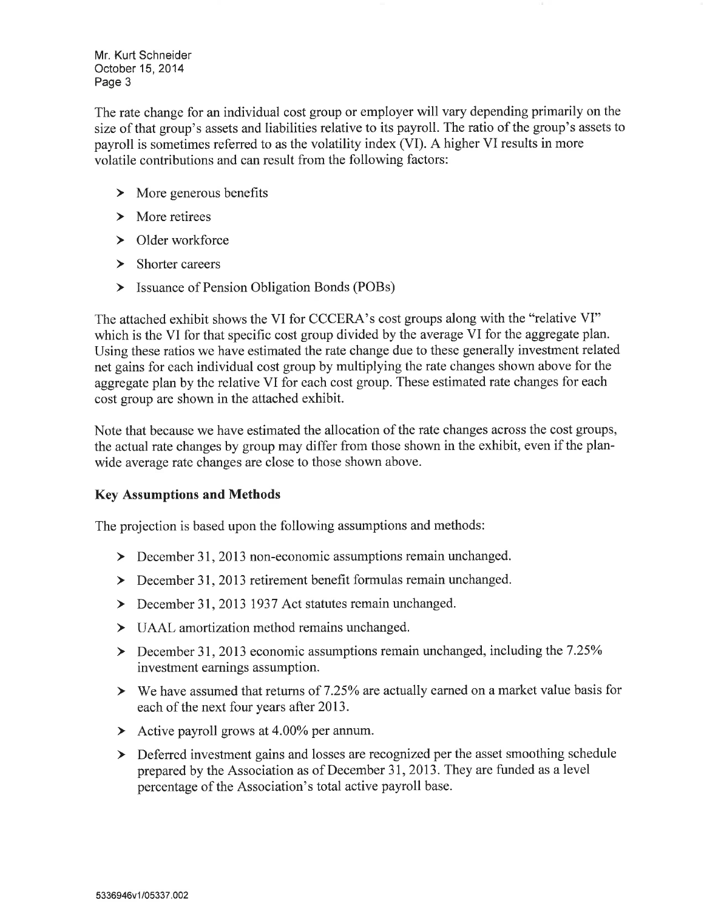Mr. Kurt Schneider October 15, 2014 Page 3

The rate change for an individual cost group or employer will vary depending primarily on the size of that group's assets and liabilities relative to its payroll. The ratio of the group's assets to payroll is sometimes referred to as the volatility index (VI). A higher VI results in more volatile contributions and can result from the following factors:

- $\triangleright$  More generous benefits
- $\triangleright$  More retirees
- $\triangleright$  Older workforce
- $\sum$  Shorter careers
- > Issuance of Pension Obligation Bonds (POBs)

The attached exhibit shows the VI for CCCERA's cost groups along with the "relative VI" which is the VI for that specific cost group divided by the average VI for the aggregate plan. Using these ratios we have estimated the rate change due to these generally investment related net gains for each individual cost group by multiplying the rate changes shown above for the aggregate plan by the relative VI for each cost group. These estimated rate changes for each cost group are shown in the attached exhibit.

Note that because we have estimated the allocation of the rate changes across the cost groups, the actual rate changes by group may differ from those shown in the exhibit, even if the planwide average rate changes are close to those shown above.

#### **Key Assumptions and Methods**

The projection is based upon the following assumptions and methods:

- $\triangleright$  December 31, 2013 non-economic assumptions remain unchanged.
- $\geq$  December 31, 2013 retirement benefit formulas remain unchanged.
- > December 31, 2013 1937 Act statutes remain unchanged.
- $\triangleright$  UAAL amortization method remains unchanged.
- > December 31, 2013 economic assumptions remain unchanged, including the 7.25% investment earnings assumption.
- $\triangleright$  We have assumed that returns of 7.25% are actually earned on a market value basis for each of the next four years after 2013.
- $\blacktriangleright$  Active payroll grows at 4.00% per annum.
- > Deferred investment gains and losses are recognized per the asset smoothing schedule prepared by the Association as of December 31, 2013. They are funded as a level percentage of the Association's total active payroll base.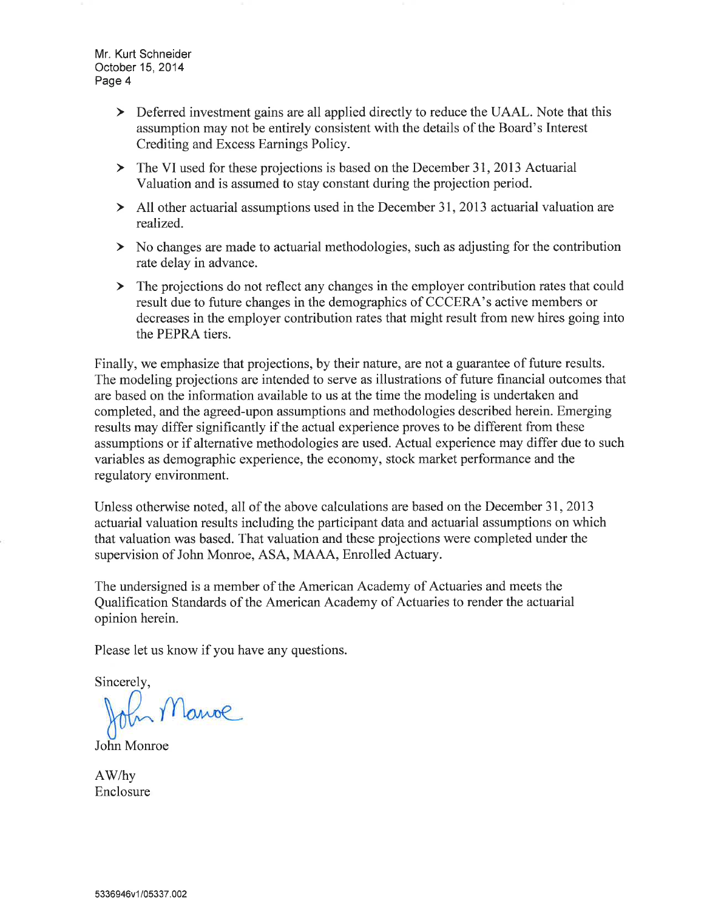Mr. Kurt Schneider October 15, 2014 Page 4

- > Deferred investment gains are all applied directly to reduce the UAAL. Note that this assumption may not be entirely consistent with the details of the Board's Interest Crediting and Excess Earnings Policy.
- $\triangleright$  The VI used for these projections is based on the December 31, 2013 Actuarial Valuation and is assumed to stay constant during the projection period.
- $\geq$  All other actuarial assumptions used in the December 31, 2013 actuarial valuation are realized.
- $\triangleright$  No changes are made to actuarial methodologies, such as adjusting for the contribution rate delay in advance.
- > The projections do not reflect any changes in the employer contribution rates that could result due to future changes in the demographics of CCCERA's active members or decreases in the employer contribution rates that might result from new hires going into the PEPRA tiers.

Finally, we emphasize that projections, by their nature, are not a guarantee of future results. The modeling projections are intended to serve as illustrations of future financial outcomes that are based on the information available to us at the time the modeling is undertaken and completed, and the agreed-upon assumptions and methodologies described herein. Emerging results may differ significantly if the actual experience proves to be different from these assumptions or if alternative methodologies are used. Actual experience may differ due to such variables as demographic experience, the economy, stock market performance and the regulatory environment.

Unless otherwise noted, all of the above calculations are based on the December 31, 2013 actuarial valuation results including the participant data and actuarial assumptions on which that valuation was based. That valuation and these projections were completed under the supervision of John Monroe, ASA, MAAA, Enrolled Actuary.

The undersigned is a member of the American Academy of Actuaries and meets the Qualification Standards of the American Academy of Actuaries to render the actuarial opinion herein.

Please let us know if you have any questions.

Sincerely,

In Manoe

John Monroe

AW/hy Enclosure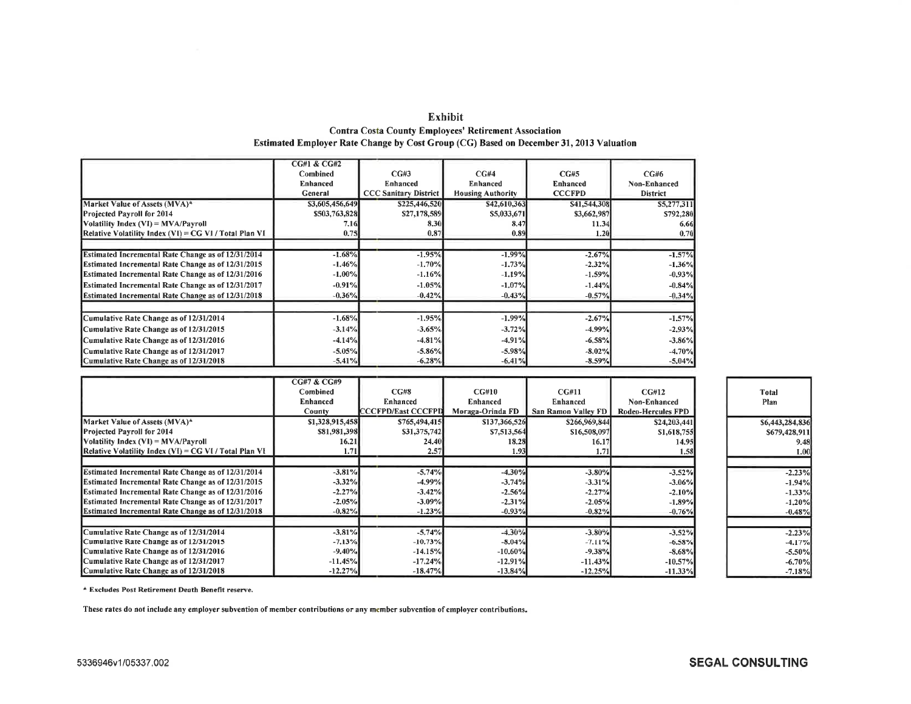|                                                       | <b>CG#1 &amp; CG#2</b> |                              |                          |                 |                 |
|-------------------------------------------------------|------------------------|------------------------------|--------------------------|-----------------|-----------------|
|                                                       | Combined               | CG#3                         | CG#4                     | CG#5            | CG#6            |
|                                                       | Enhanced               | Enhanced                     | Enhanced                 | <b>Enhanced</b> | Non-Enhanced    |
|                                                       | General                | <b>CCC Sanitary District</b> | <b>Housing Authority</b> | <b>CCCFPD</b>   | <b>District</b> |
| Market Value of Assets (MVA)*                         | \$3,605,456,649        | \$225,446,520                | \$42,610,363             | \$41,544,308    | \$5,277,311     |
| Projected Pavroll for 2014                            | \$503,763,828          | \$27,178,589                 | \$5,033,671              | \$3,662,987     | \$792,280       |
| Volatility Index (VI) = MVA/Pavroll                   | 7.16                   | 8,30                         | 8.47                     | 11.34           | 6.66            |
| Relative Volatility Index $(VI) = CGVI/Total Plan VI$ | 0.75                   | 0.87                         | 0.89                     | 1.20            | 0.70            |
|                                                       |                        |                              |                          |                 |                 |
| Estimated Incremental Rate Change as of 12/31/2014    | $-1.68%$               | $-1.95%$                     | $-1,99%$                 | $-2.67%$        | $-1.57%$        |
| Estimated Incremental Rate Change as of 12/31/2015    | $-1.46%$               | $-1.70%$                     | $-1.73%$                 | $-2.32%$        | $-1,36%$        |
| Estimated Incremental Rate Change as of 12/31/2016    | $-1.00%$               | $-1.16%$                     | $-1.19%$                 | $-1.59%$        | $-0.93%$        |
| Estimated Incremental Rate Change as of 12/31/2017    | $-0.91%$               | $-1.05%$                     | $-1.07%$                 | $-1.44%$        | $-0.84%$        |
| Estimated Incremental Rate Change as of 12/31/2018    | $-0.36\%$              | $-0.42%$                     | $-0.43%$                 | $-0.57%$        | $-0.34%$        |
|                                                       |                        |                              |                          |                 |                 |
| Cumulative Rate Change as of 12/31/2014               | $-1.68%$               | $-1.95%$                     | $-1.99%$                 | $-2.67%$        | $-1,57%$        |
| Cumulative Rate Change as of 12/31/2015               | $-3.14%$               | $-3,65%$                     | $-3.72%$                 | $-4.99%$        | $-2.93%$        |
| Cumulative Rate Change as of 12/31/2016               | $-4.14%$               | $-4.81%$                     | $-4.91\%$                | $-6,58%$        | $-3.86%$        |
| Cumulative Rate Change as of 12/31/2017               | $-5.05%$               | $-5.86%$                     | $-5.98%$                 | $-8.02\%$       | $-4.70%$        |
| Cumulative Rate Change as of 12/31/2018               | $-5.41\%$              | $-6.28\%$                    | $-6.41%$                 | $-8.59%$        | $-5.04%$        |

| Exhibit                                                                                       |
|-----------------------------------------------------------------------------------------------|
| <b>Contra Costa County Employees' Retirement Association</b>                                  |
| <b>Estimated Employer Rate Change by Cost Group (CG) Based on December 31, 2013 Valuation</b> |

|                                                           | CG#7 & CG#9     |                           |                  |                     |                           |                      |
|-----------------------------------------------------------|-----------------|---------------------------|------------------|---------------------|---------------------------|----------------------|
|                                                           | Combined        | CG#8                      | CG#10            | CG#11               | CG#12                     | Total                |
|                                                           | <b>Enhanced</b> | Enhanced                  | Enhanced         | <b>Enhanced</b>     | Non-Enhanced              | Plan                 |
|                                                           | <b>County</b>   | <b>CCCFPD/East CCCFPD</b> | Moraga-Orinda FD | San Ramon Valley FD | <b>Rodeo-Hercules FPD</b> |                      |
| Market Value of Assets (MVA)*                             | \$1,328,915,458 | \$765,494,415             | \$137,366,526    | \$266,969,844       | \$24,203,441              | \$6,443,284,83       |
| Projected Payroll for 2014                                | \$81,981,398    | \$31,375,742              | \$7,513,564      | \$16,508,097        | \$1,618,755               | \$679,428.91         |
| $Volatility Index (VI) = MVA/Payroll$                     | 16.21           | 24.40                     | 18.28            | 16.17               | 14.95                     | 9.4                  |
| [Relative Volatility Index $(VI) = CG VI / Total Plan VI$ | 1.71            | 2.57                      | 1.93             | 1.71                | 1,58                      | 1.0                  |
|                                                           |                 |                           |                  |                     |                           |                      |
| Estimated Incremental Rate Change as of 12/31/2014        | $-3.81%$        | $-5.74%$                  | $-4.30%$         | $-3,80%$            | $-3.52%$                  | $-2.23^{\circ}$      |
| <b>Estimated Incremental Rate Change as of 12/31/2015</b> | $-3.32%$        | $-4.99%$                  | $-3.74%$         | $-3.31\%$           | $-3.06%$                  | $-1.949$             |
| Estimated Incremental Rate Change as of 12/31/2016        | $-2.27%$        | $-3.42%$                  | $-2.56%$         | $-2,27%$            | $-2.10%$                  | $-1.33$ <sup>o</sup> |
| Estimated Incremental Rate Change as of 12/31/2017        | $-2.05%$        | $-3.09%$                  | $-2.31%$         | $-2.05%$            | $-1,89%$                  | $-1.209$             |
| <b>Estimated Incremental Rate Change as of 12/31/2018</b> | $-0.82%$        | $-1.23%$                  | $-0.93%$         | $-0.82%$            | $-0.76%$                  | $-0.48°$             |
|                                                           |                 |                           |                  |                     |                           |                      |
| Cumulative Rate Change as of 12/31/2014                   | $-3.81\%$       | $-5.74%$                  | $-4.30%$         | $-3.80%$            | $-3.52%$                  | $-2.23^{\circ}$      |
| Cumulative Rate Change as of 12/31/2015                   | $-7.13%$        | $-10,73%$                 | $-8.04%$         | $-7.11%$            | $-6.58%$                  | $-4.179$             |
| Cumulative Rate Change as of 12/31/2016                   | $-9.40%$        | $-14.15%$                 | $-10,60%$        | $-9.38%$            | $-8.68%$                  | $-5.50$ %            |
| Cumulative Rate Change as of 12/31/2017                   | $-11.45%$       | $-17.24%$                 | $-12.91%$        | $-11.43\%$          | $-10,57%$                 | $-6,70%$             |
| Cumulative Rate Change as of 12/31/2018                   | $-12,27%$       | $-18,47%$                 | $-13.84%$        | $-12.25%$           | $-11.33\%$                | $-7.18^{\circ}$      |

\* Excludes Post Retirement Death Benefit reserve.

These rates do not include any employer subvention of member contributions or any member subvention of employer contributions.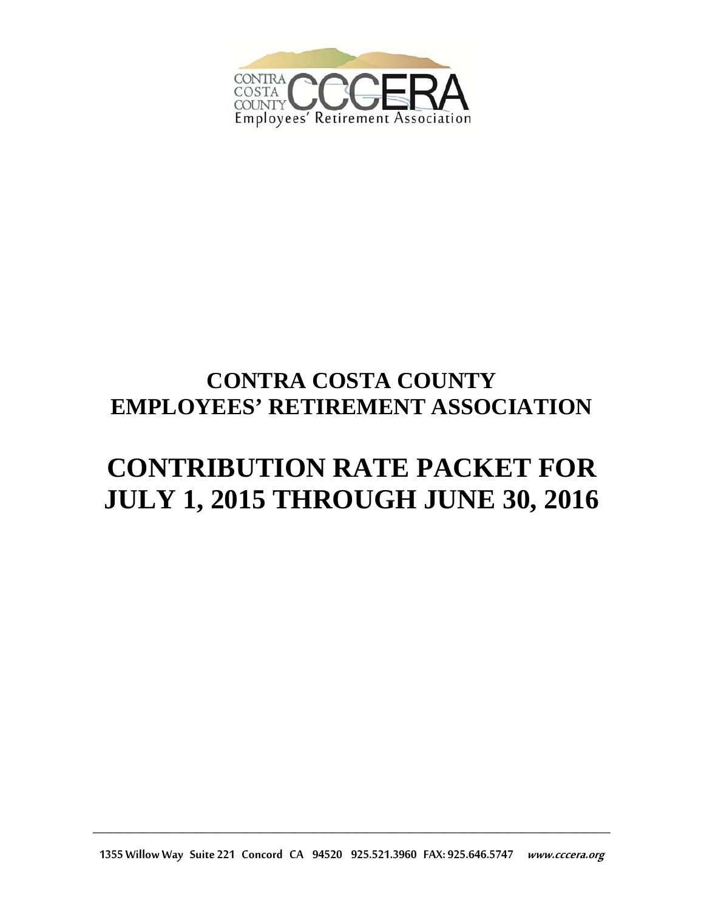

## **CONTRA COSTA COUNTY EMPLOYEES' RETIREMENT ASSOCIATION**

# **CONTRIBUTION RATE PACKET FOR JULY 1, 2015 THROUGH JUNE 30, 2016**

1355 Willow Way Suite 221 Concord CA 94520 925.521.3960 FAX: 925.646.5747 www.cccera.org

\_\_\_\_\_\_\_\_\_\_\_\_\_\_\_\_\_\_\_\_\_\_\_\_\_\_\_\_\_\_\_\_\_\_\_\_\_\_\_\_\_\_\_\_\_\_\_\_\_\_\_\_\_\_\_\_\_\_\_\_\_\_\_\_\_\_\_\_\_\_\_\_\_\_\_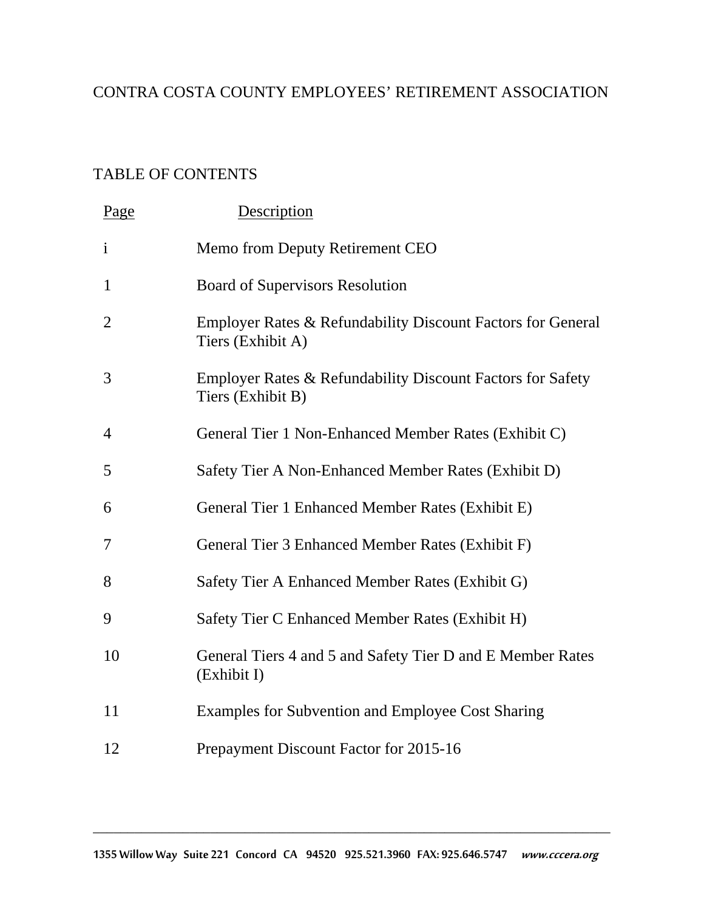## CONTRA COSTA COUNTY EMPLOYEES' RETIREMENT ASSOCIATION

## TABLE OF CONTENTS

| Page           | <b>Description</b>                                                               |
|----------------|----------------------------------------------------------------------------------|
| $\mathbf{i}$   | Memo from Deputy Retirement CEO                                                  |
| $\mathbf{1}$   | <b>Board of Supervisors Resolution</b>                                           |
| $\overline{2}$ | Employer Rates & Refundability Discount Factors for General<br>Tiers (Exhibit A) |
| 3              | Employer Rates & Refundability Discount Factors for Safety<br>Tiers (Exhibit B)  |
| 4              | General Tier 1 Non-Enhanced Member Rates (Exhibit C)                             |
| 5              | Safety Tier A Non-Enhanced Member Rates (Exhibit D)                              |
| 6              | General Tier 1 Enhanced Member Rates (Exhibit E)                                 |
| 7              | General Tier 3 Enhanced Member Rates (Exhibit F)                                 |
| 8              | Safety Tier A Enhanced Member Rates (Exhibit G)                                  |
| 9              | Safety Tier C Enhanced Member Rates (Exhibit H)                                  |
| 10             | General Tiers 4 and 5 and Safety Tier D and E Member Rates<br>(Exhibit I)        |
| 11             | Examples for Subvention and Employee Cost Sharing                                |
| 12             | Prepayment Discount Factor for 2015-16                                           |
|                |                                                                                  |

\_\_\_\_\_\_\_\_\_\_\_\_\_\_\_\_\_\_\_\_\_\_\_\_\_\_\_\_\_\_\_\_\_\_\_\_\_\_\_\_\_\_\_\_\_\_\_\_\_\_\_\_\_\_\_\_\_\_\_\_\_\_\_\_\_\_\_\_\_\_\_\_\_\_\_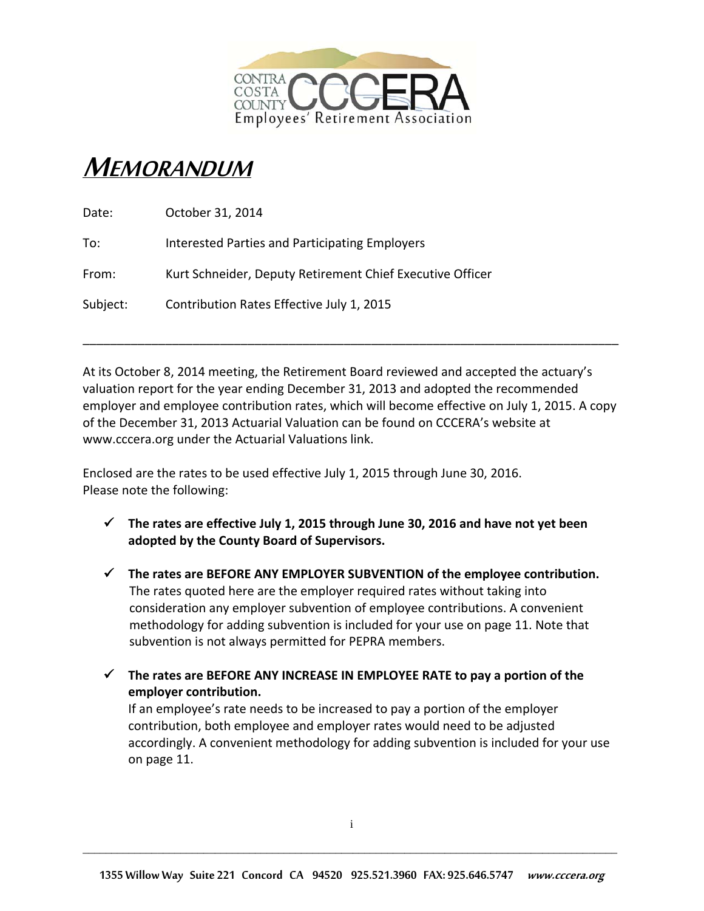

## MEMORANDUM

| Date:    | October 31, 2014                                          |
|----------|-----------------------------------------------------------|
| To:      | Interested Parties and Participating Employers            |
| From:    | Kurt Schneider, Deputy Retirement Chief Executive Officer |
| Subject: | Contribution Rates Effective July 1, 2015                 |

At its October 8, 2014 meeting, the Retirement Board reviewed and accepted the actuary's valuation report for the year ending December 31, 2013 and adopted the recommended employer and employee contribution rates, which will become effective on July 1, 2015. A copy of the December 31, 2013 Actuarial Valuation can be found on CCCERA's website at www.cccera.org under the Actuarial Valuations link.

\_\_\_\_\_\_\_\_\_\_\_\_\_\_\_\_\_\_\_\_\_\_\_\_\_\_\_\_\_\_\_\_\_\_\_\_\_\_\_\_\_\_\_\_\_\_\_\_\_\_\_\_\_\_\_\_\_\_\_\_\_\_\_\_\_\_\_\_\_\_\_\_\_\_\_\_\_\_

Enclosed are the rates to be used effective July 1, 2015 through June 30, 2016. Please note the following:

- **The rates are effective July 1, 2015 through June 30, 2016 and have not yet been adopted by the County Board of Supervisors.**
- **The rates are BEFORE ANY EMPLOYER SUBVENTION of the employee contribution.**  The rates quoted here are the employer required rates without taking into consideration any employer subvention of employee contributions. A convenient methodology for adding subvention is included for your use on page 11. Note that subvention is not always permitted for PEPRA members.
- **The rates are BEFORE ANY INCREASE IN EMPLOYEE RATE to pay a portion of the employer contribution.**

If an employee's rate needs to be increased to pay a portion of the employer contribution, both employee and employer rates would need to be adjusted accordingly. A convenient methodology for adding subvention is included for your use on page 11.

\_\_\_\_\_\_\_\_\_\_\_\_\_\_\_\_\_\_\_\_\_\_\_\_\_\_\_\_\_\_\_\_\_\_\_\_\_\_\_\_\_\_\_\_\_\_\_\_\_\_\_\_\_\_\_\_\_\_\_\_\_\_\_\_\_\_\_\_\_\_\_\_\_\_\_\_\_\_\_\_\_\_\_\_\_\_\_\_\_\_\_\_\_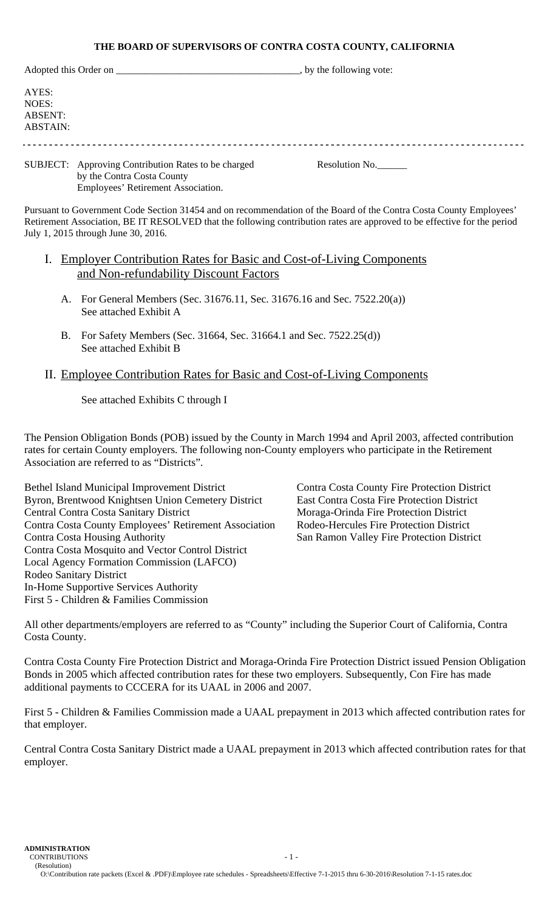#### **THE BOARD OF SUPERVISORS OF CONTRA COSTA COUNTY, CALIFORNIA**

|                                       | Adopted this Order on                               | $\Box$ , by the following vote: |  |  |  |  |
|---------------------------------------|-----------------------------------------------------|---------------------------------|--|--|--|--|
| AYES:<br>NOES:<br>ABSENT:<br>ABSTAIN: |                                                     |                                 |  |  |  |  |
|                                       | SUBJECT: Approving Contribution Rates to be charged | Resolution No.                  |  |  |  |  |

 by the Contra Costa County Employees' Retirement Association.

Pursuant to Government Code Section 31454 and on recommendation of the Board of the Contra Costa County Employees' Retirement Association, BE IT RESOLVED that the following contribution rates are approved to be effective for the period July 1, 2015 through June 30, 2016.

- I. Employer Contribution Rates for Basic and Cost-of-Living Components and Non-refundability Discount Factors
	- A. For General Members (Sec. 31676.11, Sec. 31676.16 and Sec. 7522.20(a)) See attached Exhibit A
	- B. For Safety Members (Sec. 31664, Sec. 31664.1 and Sec. 7522.25(d)) See attached Exhibit B

## II. Employee Contribution Rates for Basic and Cost-of-Living Components

See attached Exhibits C through I

The Pension Obligation Bonds (POB) issued by the County in March 1994 and April 2003, affected contribution rates for certain County employers. The following non-County employers who participate in the Retirement Association are referred to as "Districts".

Bethel Island Municipal Improvement District Contra Costa County Fire Protection District Byron, Brentwood Knightsen Union Cemetery District East Contra Costa Fire Protection District Central Contra Costa Sanitary District Moraga-Orinda Fire Protection District Contra Costa County Employees' Retirement Association Rodeo-Hercules Fire Protection District Contra Costa Housing Authority San Ramon Valley Fire Protection District Contra Costa Mosquito and Vector Control District Local Agency Formation Commission (LAFCO) Rodeo Sanitary District In-Home Supportive Services Authority First 5 - Children & Families Commission

All other departments/employers are referred to as "County" including the Superior Court of California, Contra Costa County.

Contra Costa County Fire Protection District and Moraga-Orinda Fire Protection District issued Pension Obligation Bonds in 2005 which affected contribution rates for these two employers. Subsequently, Con Fire has made additional payments to CCCERA for its UAAL in 2006 and 2007.

First 5 - Children & Families Commission made a UAAL prepayment in 2013 which affected contribution rates for that employer.

Central Contra Costa Sanitary District made a UAAL prepayment in 2013 which affected contribution rates for that employer.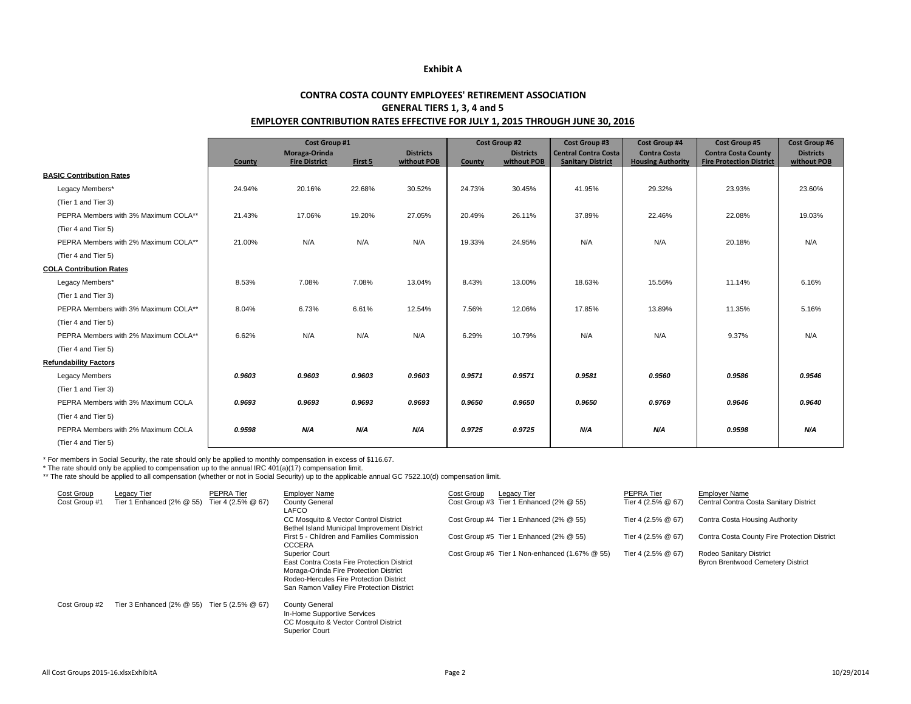#### **Exhibit A**

#### **CONTRA COSTA COUNTY EMPLOYEES' RETIREMENT ASSOCIATIONGENERAL TIERS 1, 3, 4 and 5 EMPLOYER CONTRIBUTION RATES EFFECTIVE FOR JULY 1, 2015 THROUGH JUNE 30, 2016**

|                                      | Cost Group #1 |                                       |         |                                 | <b>Cost Group #2</b> |                                 | <b>Cost Group #3</b>                                    | <b>Cost Group #4</b>                            | <b>Cost Group #5</b>                                          | <b>Cost Group #6</b>            |
|--------------------------------------|---------------|---------------------------------------|---------|---------------------------------|----------------------|---------------------------------|---------------------------------------------------------|-------------------------------------------------|---------------------------------------------------------------|---------------------------------|
|                                      | County        | Moraga-Orinda<br><b>Fire District</b> | First 5 | <b>Districts</b><br>without POB | County               | <b>Districts</b><br>without POB | <b>Central Contra Costa</b><br><b>Sanitary District</b> | <b>Contra Costa</b><br><b>Housing Authority</b> | <b>Contra Costa County</b><br><b>Fire Protection District</b> | <b>Districts</b><br>without POB |
| <b>BASIC Contribution Rates</b>      |               |                                       |         |                                 |                      |                                 |                                                         |                                                 |                                                               |                                 |
| Legacy Members*                      | 24.94%        | 20.16%                                | 22.68%  | 30.52%                          | 24.73%               | 30.45%                          | 41.95%                                                  | 29.32%                                          | 23.93%                                                        | 23.60%                          |
| (Tier 1 and Tier 3)                  |               |                                       |         |                                 |                      |                                 |                                                         |                                                 |                                                               |                                 |
| PEPRA Members with 3% Maximum COLA** | 21.43%        | 17.06%                                | 19.20%  | 27.05%                          | 20.49%               | 26.11%                          | 37.89%                                                  | 22.46%                                          | 22.08%                                                        | 19.03%                          |
| (Tier 4 and Tier 5)                  |               |                                       |         |                                 |                      |                                 |                                                         |                                                 |                                                               |                                 |
| PEPRA Members with 2% Maximum COLA** | 21.00%        | N/A                                   | N/A     | N/A                             | 19.33%               | 24.95%                          | N/A                                                     | N/A                                             | 20.18%                                                        | N/A                             |
| (Tier 4 and Tier 5)                  |               |                                       |         |                                 |                      |                                 |                                                         |                                                 |                                                               |                                 |
| <b>COLA Contribution Rates</b>       |               |                                       |         |                                 |                      |                                 |                                                         |                                                 |                                                               |                                 |
| Legacy Members*                      | 8.53%         | 7.08%                                 | 7.08%   | 13.04%                          | 8.43%                | 13.00%                          | 18.63%                                                  | 15.56%                                          | 11.14%                                                        | 6.16%                           |
| (Tier 1 and Tier 3)                  |               |                                       |         |                                 |                      |                                 |                                                         |                                                 |                                                               |                                 |
| PEPRA Members with 3% Maximum COLA** | 8.04%         | 6.73%                                 | 6.61%   | 12.54%                          | 7.56%                | 12.06%                          | 17.85%                                                  | 13.89%                                          | 11.35%                                                        | 5.16%                           |
| (Tier 4 and Tier 5)                  |               |                                       |         |                                 |                      |                                 |                                                         |                                                 |                                                               |                                 |
| PEPRA Members with 2% Maximum COLA** | 6.62%         | N/A                                   | N/A     | N/A                             | 6.29%                | 10.79%                          | N/A                                                     | N/A                                             | 9.37%                                                         | N/A                             |
| (Tier 4 and Tier 5)                  |               |                                       |         |                                 |                      |                                 |                                                         |                                                 |                                                               |                                 |
| <b>Refundability Factors</b>         |               |                                       |         |                                 |                      |                                 |                                                         |                                                 |                                                               |                                 |
| <b>Legacy Members</b>                | 0.9603        | 0.9603                                | 0.9603  | 0.9603                          | 0.9571               | 0.9571                          | 0.9581                                                  | 0.9560                                          | 0.9586                                                        | 0.9546                          |
| (Tier 1 and Tier 3)                  |               |                                       |         |                                 |                      |                                 |                                                         |                                                 |                                                               |                                 |
| PEPRA Members with 3% Maximum COLA   | 0.9693        | 0.9693                                | 0.9693  | 0.9693                          | 0.9650               | 0.9650                          | 0.9650                                                  | 0.9769                                          | 0.9646                                                        | 0.9640                          |
| (Tier 4 and Tier 5)                  |               |                                       |         |                                 |                      |                                 |                                                         |                                                 |                                                               |                                 |
| PEPRA Members with 2% Maximum COLA   | 0.9598        | N/A                                   | N/A     | N/A                             | 0.9725               | 0.9725                          | N/A                                                     | N/A                                             | 0.9598                                                        | N/A                             |
| (Tier 4 and Tier 5)                  |               |                                       |         |                                 |                      |                                 |                                                         |                                                 |                                                               |                                 |

\* For members in Social Security, the rate should only be applied to monthly compensation in excess of \$116.67. \* The rate should only be applied to compensation up to the annual IRC 401(a)(17) compensation limit.

\*\* The rate should be applied to all compensation (whether or not in Social Security) up to the applicable annual GC 7522.10(d) compensation limit.

| Cost Group<br>Cost Group #1 | Legacy Tier<br>Tier 1 Enhanced (2% @ 55) | PEPRA Tier<br>Tier 4 (2.5% @ 67) | <b>Employer Name</b><br><b>County General</b>                                                                                                                                                         | Cost Group | Legacy Tier<br>Cost Group #3 Tier 1 Enhanced (2% @ 55) | PEPRA Tier<br>Tier 4 (2.5% @ 67) | <b>Employer Name</b><br>Central Contra Costa Sanitary District      |
|-----------------------------|------------------------------------------|----------------------------------|-------------------------------------------------------------------------------------------------------------------------------------------------------------------------------------------------------|------------|--------------------------------------------------------|----------------------------------|---------------------------------------------------------------------|
|                             |                                          |                                  | LAFCO<br>CC Mosquito & Vector Control District<br>Bethel Island Municipal Improvement District                                                                                                        |            | Cost Group #4 Tier 1 Enhanced (2% @ 55)                | Tier 4 (2.5% @ 67)               | Contra Costa Housing Authority                                      |
|                             |                                          |                                  | First 5 - Children and Families Commission<br><b>CCCERA</b>                                                                                                                                           |            | Cost Group #5 Tier 1 Enhanced (2% @ 55)                | Tier 4 (2.5% @ 67)               | Contra Costa County Fire Protection District                        |
|                             |                                          |                                  | <b>Superior Court</b><br>East Contra Costa Fire Protection District<br>Moraga-Orinda Fire Protection District<br>Rodeo-Hercules Fire Protection District<br>San Ramon Valley Fire Protection District |            | Cost Group #6 Tier 1 Non-enhanced (1.67% @ 55)         | Tier 4 (2.5% @ 67)               | Rodeo Sanitary District<br><b>Byron Brentwood Cemetery District</b> |
| Cost Group #2               | Tier 3 Enhanced $(2\% \ @ \ 55)$         | Tier 5 (2.5% @ 67)               | <b>County General</b><br>In-Home Supportive Services<br>CC Mosquito & Vector Control District<br>Superior Court                                                                                       |            |                                                        |                                  |                                                                     |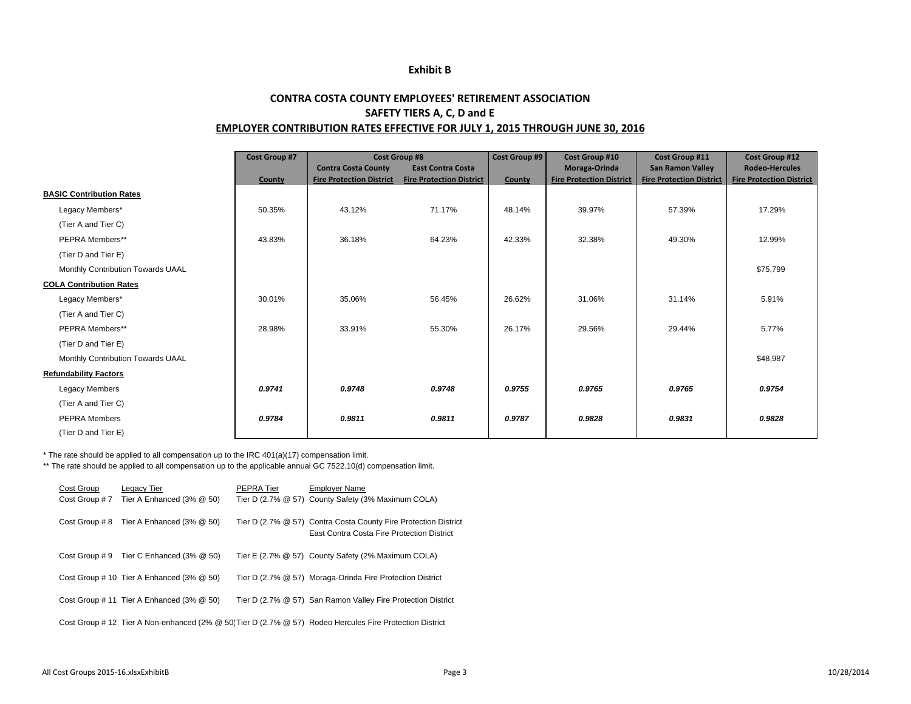#### **Exhibit B**

#### **CONTRA COSTA COUNTY EMPLOYEES' RETIREMENT ASSOCIATION SAFETY TIERS A, C, D and E EMPLOYER CONTRIBUTION RATES EFFECTIVE FOR JULY 1, 2015 THROUGH JUNE 30, 2016**

|                                   | <b>Cost Group #7</b> | <b>Cost Group #8</b>            |                                 | Cost Group #9 | <b>Cost Group #10</b>           | Cost Group #11                  | <b>Cost Group #12</b>           |
|-----------------------------------|----------------------|---------------------------------|---------------------------------|---------------|---------------------------------|---------------------------------|---------------------------------|
|                                   |                      | <b>Contra Costa County</b>      | <b>East Contra Costa</b>        |               | Moraga-Orinda                   | <b>San Ramon Valley</b>         | <b>Rodeo-Hercules</b>           |
|                                   | County               | <b>Fire Protection District</b> | <b>Fire Protection District</b> | County        | <b>Fire Protection District</b> | <b>Fire Protection District</b> | <b>Fire Protection District</b> |
| <b>BASIC Contribution Rates</b>   |                      |                                 |                                 |               |                                 |                                 |                                 |
| Legacy Members*                   | 50.35%               | 43.12%                          | 71.17%                          | 48.14%        | 39.97%                          | 57.39%                          | 17.29%                          |
| (Tier A and Tier C)               |                      |                                 |                                 |               |                                 |                                 |                                 |
| PEPRA Members**                   | 43.83%               | 36.18%                          | 64.23%                          | 42.33%        | 32.38%                          | 49.30%                          | 12.99%                          |
| (Tier D and Tier E)               |                      |                                 |                                 |               |                                 |                                 |                                 |
| Monthly Contribution Towards UAAL |                      |                                 |                                 |               |                                 |                                 | \$75,799                        |
| <b>COLA Contribution Rates</b>    |                      |                                 |                                 |               |                                 |                                 |                                 |
| Legacy Members*                   | 30.01%               | 35.06%                          | 56.45%                          | 26.62%        | 31.06%                          | 31.14%                          | 5.91%                           |
| (Tier A and Tier C)               |                      |                                 |                                 |               |                                 |                                 |                                 |
| PEPRA Members**                   | 28.98%               | 33.91%                          | 55.30%                          | 26.17%        | 29.56%                          | 29.44%                          | 5.77%                           |
| (Tier D and Tier E)               |                      |                                 |                                 |               |                                 |                                 |                                 |
| Monthly Contribution Towards UAAL |                      |                                 |                                 |               |                                 |                                 | \$48,987                        |
| <b>Refundability Factors</b>      |                      |                                 |                                 |               |                                 |                                 |                                 |
| <b>Legacy Members</b>             | 0.9741               | 0.9748                          | 0.9748                          | 0.9755        | 0.9765                          | 0.9765                          | 0.9754                          |
| (Tier A and Tier C)               |                      |                                 |                                 |               |                                 |                                 |                                 |
| <b>PEPRA Members</b>              | 0.9784               | 0.9811                          | 0.9811                          | 0.9787        | 0.9828                          | 0.9831                          | 0.9828                          |
| (Tier D and Tier E)               |                      |                                 |                                 |               |                                 |                                 |                                 |

\* The rate should be applied to all compensation up to the IRC 401(a)(17) compensation limit.

\*\* The rate should be applied to all compensation up to the applicable annual GC 7522.10(d) compensation limit.

| Cost Group     | Legacy Tier                                      | PEPRA Tier | <b>Employer Name</b>                                                                                          |
|----------------|--------------------------------------------------|------------|---------------------------------------------------------------------------------------------------------------|
| Cost Group #7  | Tier A Enhanced $(3\% \ @ \ 50)$                 |            | Tier D (2.7% @ 57) County Safety (3% Maximum COLA)                                                            |
| Cost Group # 8 | Tier A Enhanced (3% @ 50)                        |            | Tier D (2.7% @ 57) Contra Costa County Fire Protection District<br>East Contra Costa Fire Protection District |
| Cost Group # 9 | Tier C Enhanced $(3\% \ @ \ 50)$                 |            | Tier E (2.7% @ 57) County Safety (2% Maximum COLA)                                                            |
|                | Cost Group # 10 Tier A Enhanced $(3\% \ @ \ 50)$ |            | Tier D (2.7% @ 57) Moraga-Orinda Fire Protection District                                                     |
|                | Cost Group # 11 Tier A Enhanced $(3\% \ @ \ 50)$ |            | Tier D (2.7% @ 57) San Ramon Valley Fire Protection District                                                  |
|                |                                                  |            | Cost Group # 12 Tier A Non-enhanced (2% @ 50) Tier D (2.7% @ 57) Rodeo Hercules Fire Protection District      |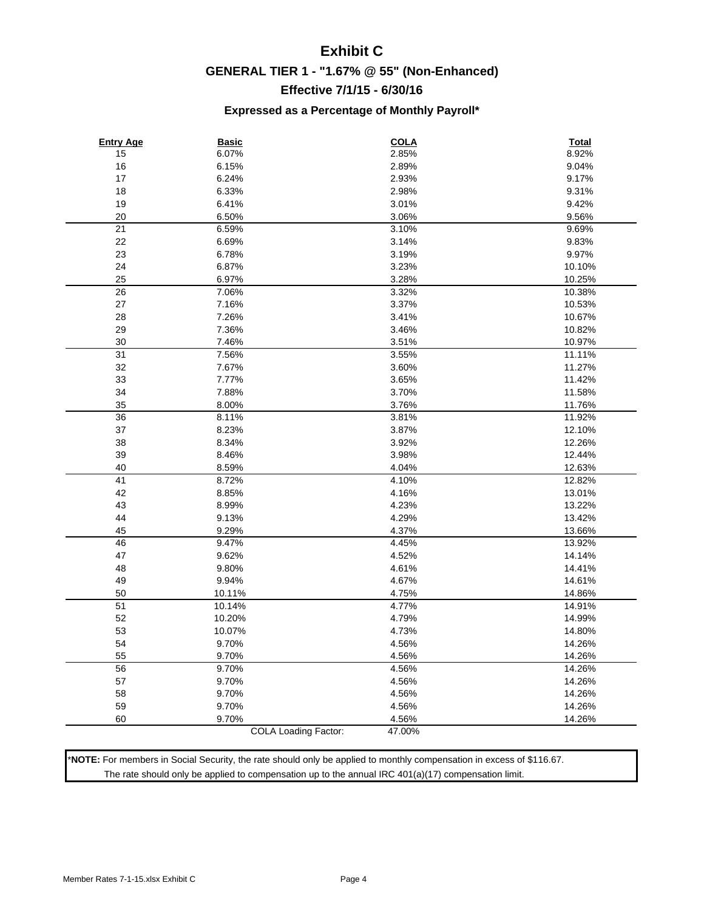## **Exhibit C GENERAL TIER 1 - "1.67% @ 55" (Non-Enhanced) Effective 7/1/15 - 6/30/16**

#### **Expressed as a Percentage of Monthly Payroll\***

| <b>Entry Age</b> | <b>Basic</b>                | <b>COLA</b> | <b>Total</b> |
|------------------|-----------------------------|-------------|--------------|
| 15               | 6.07%                       | 2.85%       | 8.92%        |
| 16               | 6.15%                       | 2.89%       | 9.04%        |
| 17               | 6.24%                       | 2.93%       | 9.17%        |
| 18               | 6.33%                       | 2.98%       | 9.31%        |
| 19               | 6.41%                       | 3.01%       | 9.42%        |
| 20               | 6.50%                       | 3.06%       | 9.56%        |
| 21               | 6.59%                       | 3.10%       | 9.69%        |
| 22               | 6.69%                       | 3.14%       | 9.83%        |
| 23               | 6.78%                       | 3.19%       | 9.97%        |
| 24               | 6.87%                       | 3.23%       | 10.10%       |
| 25               | 6.97%                       | 3.28%       | 10.25%       |
| 26               | 7.06%                       | 3.32%       | 10.38%       |
| $27\,$           | 7.16%                       | 3.37%       | 10.53%       |
| 28               | 7.26%                       | 3.41%       | 10.67%       |
| 29               | 7.36%                       | 3.46%       | 10.82%       |
| 30               | 7.46%                       | 3.51%       | 10.97%       |
| 31               | 7.56%                       | 3.55%       | 11.11%       |
| 32               | 7.67%                       | 3.60%       | 11.27%       |
| 33               | 7.77%                       | 3.65%       | 11.42%       |
| 34               | 7.88%                       | 3.70%       | 11.58%       |
| 35               | 8.00%                       | 3.76%       | 11.76%       |
| 36               | 8.11%                       | 3.81%       | 11.92%       |
| $37\,$           | 8.23%                       | 3.87%       | 12.10%       |
| 38               | 8.34%                       | 3.92%       | 12.26%       |
| 39               | 8.46%                       | 3.98%       | 12.44%       |
| 40               | 8.59%                       | 4.04%       | 12.63%       |
| 41               | 8.72%                       | 4.10%       | 12.82%       |
| 42               | 8.85%                       | 4.16%       | 13.01%       |
| 43               | 8.99%                       | 4.23%       | 13.22%       |
| 44               | 9.13%                       | 4.29%       | 13.42%       |
| 45               | 9.29%                       | 4.37%       | 13.66%       |
| 46               | 9.47%                       | 4.45%       | 13.92%       |
| 47               | 9.62%                       | 4.52%       | 14.14%       |
| 48               | 9.80%                       | 4.61%       | 14.41%       |
| 49               | 9.94%                       | 4.67%       | 14.61%       |
| 50               | 10.11%                      | 4.75%       | 14.86%       |
| 51               | 10.14%                      | 4.77%       | 14.91%       |
| 52               | 10.20%                      | 4.79%       | 14.99%       |
| 53               | 10.07%                      | 4.73%       | 14.80%       |
| 54               | 9.70%                       | 4.56%       | 14.26%       |
| 55               | 9.70%                       | 4.56%       | 14.26%       |
| 56               | 9.70%                       | 4.56%       | 14.26%       |
| 57               | 9.70%                       | 4.56%       | 14.26%       |
| 58               | 9.70%                       | 4.56%       | 14.26%       |
| 59               | 9.70%                       | 4.56%       | 14.26%       |
| 60               | 9.70%                       | 4.56%       | 14.26%       |
|                  | <b>COLA Loading Factor:</b> | 47.00%      |              |

\***NOTE:** For members in Social Security, the rate should only be applied to monthly compensation in excess of \$116.67. The rate should only be applied to compensation up to the annual IRC 401(a)(17) compensation limit.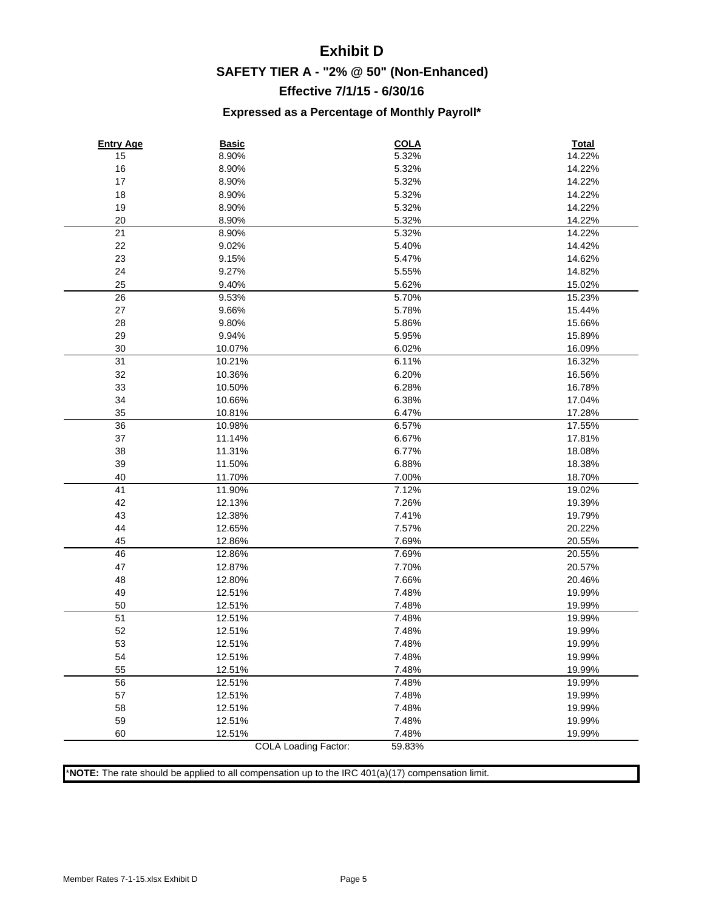## **Exhibit D SAFETY TIER A - "2% @ 50" (Non-Enhanced) Effective 7/1/15 - 6/30/16**

#### **Expressed as a Percentage of Monthly Payroll\***

| <b>Entry Age</b><br>15 | <b>Basic</b><br>8.90%       | <b>COLA</b><br>5.32% | <b>Total</b><br>14.22% |
|------------------------|-----------------------------|----------------------|------------------------|
| 16                     | 8.90%                       | 5.32%                | 14.22%                 |
| 17                     | 8.90%                       | 5.32%                | 14.22%                 |
| 18                     | 8.90%                       | 5.32%                | 14.22%                 |
| 19                     | 8.90%                       | 5.32%                | 14.22%                 |
| 20                     | 8.90%                       | 5.32%                | 14.22%                 |
| 21                     | 8.90%                       | 5.32%                | 14.22%                 |
| 22                     | 9.02%                       | 5.40%                | 14.42%                 |
| 23                     | 9.15%                       | 5.47%                | 14.62%                 |
| 24                     | 9.27%                       | 5.55%                | 14.82%                 |
| 25                     | 9.40%                       | 5.62%                | 15.02%                 |
| 26                     | 9.53%                       | 5.70%                | 15.23%                 |
| 27                     | 9.66%                       | 5.78%                | 15.44%                 |
| 28                     | 9.80%                       | 5.86%                | 15.66%                 |
| 29                     | 9.94%                       | 5.95%                | 15.89%                 |
| 30                     | 10.07%                      | 6.02%                | 16.09%                 |
| 31                     | 10.21%                      | 6.11%                | 16.32%                 |
| 32                     | 10.36%                      | 6.20%                | 16.56%                 |
| 33                     | 10.50%                      | 6.28%                | 16.78%                 |
| 34                     | 10.66%                      | 6.38%                | 17.04%                 |
| 35                     | 10.81%                      | 6.47%                | 17.28%                 |
| 36                     | 10.98%                      | 6.57%                | 17.55%                 |
| 37                     | 11.14%                      | 6.67%                | 17.81%                 |
| 38                     | 11.31%                      | 6.77%                | 18.08%                 |
| 39                     | 11.50%                      | 6.88%                | 18.38%                 |
| 40                     | 11.70%                      | 7.00%                | 18.70%                 |
| 41                     | 11.90%                      | 7.12%                | 19.02%                 |
| 42                     | 12.13%                      | 7.26%                | 19.39%                 |
| 43                     | 12.38%                      | 7.41%                | 19.79%                 |
| 44                     | 12.65%                      | 7.57%                | 20.22%                 |
| 45                     | 12.86%                      | 7.69%                | 20.55%                 |
| 46                     | 12.86%                      | 7.69%                | 20.55%                 |
| 47                     | 12.87%                      | 7.70%                | 20.57%                 |
| 48                     | 12.80%                      | 7.66%                | 20.46%                 |
| 49                     | 12.51%                      | 7.48%                | 19.99%                 |
| 50                     | 12.51%                      | 7.48%                | 19.99%                 |
| 51                     | 12.51%                      | 7.48%                | 19.99%                 |
| 52                     | 12.51%                      | 7.48%                | 19.99%                 |
| 53                     | 12.51%                      | 7.48%                | 19.99%                 |
| 54                     | 12.51%                      | 7.48%                | 19.99%                 |
| 55                     | 12.51%                      | 7.48%                | 19.99%                 |
| 56                     | 12.51%                      | 7.48%                | 19.99%                 |
| 57                     | 12.51%                      | 7.48%                | 19.99%                 |
| 58                     | 12.51%                      | 7.48%                | 19.99%                 |
| 59                     | 12.51%                      | 7.48%                | 19.99%                 |
| 60                     | 12.51%                      | 7.48%                | 19.99%                 |
|                        | <b>COLA Loading Factor:</b> | 59.83%               |                        |

\***NOTE:** The rate should be applied to all compensation up to the IRC 401(a)(17) compensation limit.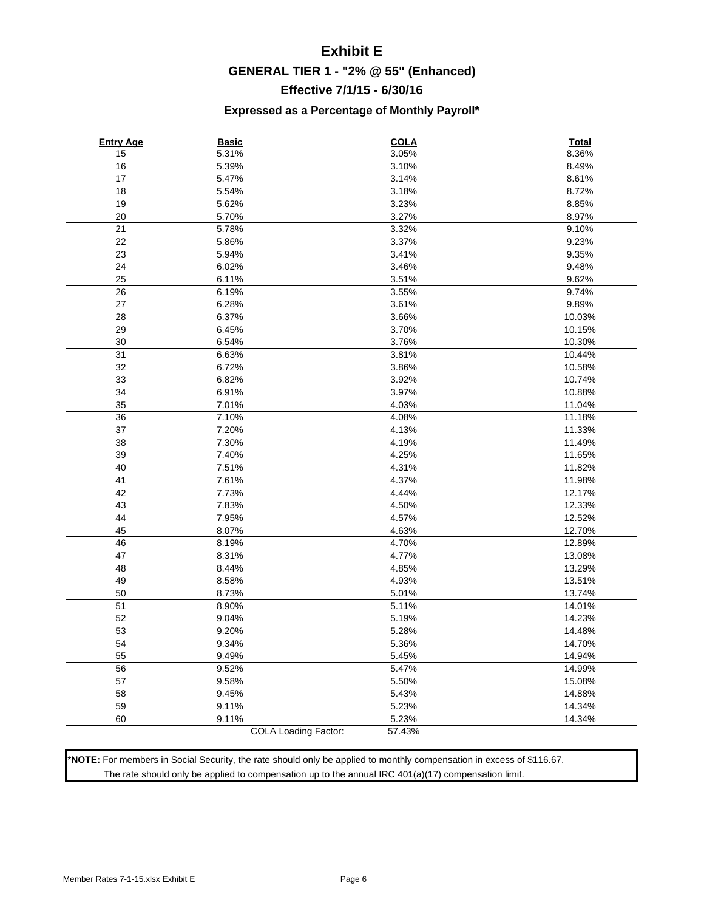## **Exhibit E GENERAL TIER 1 - "2% @ 55" (Enhanced) Effective 7/1/15 - 6/30/16**

#### **Expressed as a Percentage of Monthly Payroll\***

| <b>Entry Age</b> | <b>Basic</b>                | <b>COLA</b> | <b>Total</b> |
|------------------|-----------------------------|-------------|--------------|
| 15               | 5.31%                       | 3.05%       | 8.36%        |
| 16               | 5.39%                       | 3.10%       | 8.49%        |
| 17               | 5.47%                       | 3.14%       | 8.61%        |
| 18               | 5.54%                       | 3.18%       | 8.72%        |
| 19               | 5.62%                       | 3.23%       | 8.85%        |
| 20               | 5.70%                       | 3.27%       | 8.97%        |
| 21               | 5.78%                       | 3.32%       | 9.10%        |
| 22               | 5.86%                       | 3.37%       | 9.23%        |
| 23               | 5.94%                       | 3.41%       | 9.35%        |
| 24               | 6.02%                       | 3.46%       | 9.48%        |
| 25               | 6.11%                       | 3.51%       | 9.62%        |
| 26               | 6.19%                       | 3.55%       | 9.74%        |
| $27\,$           | 6.28%                       | 3.61%       | 9.89%        |
| 28               | 6.37%                       | 3.66%       | 10.03%       |
| 29               | 6.45%                       | 3.70%       | 10.15%       |
| 30               | 6.54%                       | 3.76%       | 10.30%       |
| 31               | 6.63%                       | 3.81%       | 10.44%       |
| 32               | 6.72%                       | 3.86%       | 10.58%       |
| 33               | 6.82%                       | 3.92%       | 10.74%       |
| 34               | 6.91%                       | 3.97%       | 10.88%       |
| 35               | 7.01%                       | 4.03%       | 11.04%       |
| 36               | 7.10%                       | 4.08%       | 11.18%       |
| $37\,$           | 7.20%                       | 4.13%       | 11.33%       |
| 38               | 7.30%                       | 4.19%       | 11.49%       |
| 39               | 7.40%                       | 4.25%       | 11.65%       |
| 40               | 7.51%                       | 4.31%       | 11.82%       |
| 41               | 7.61%                       | 4.37%       | 11.98%       |
| 42               | 7.73%                       | 4.44%       | 12.17%       |
| 43               | 7.83%                       | 4.50%       | 12.33%       |
| 44               | 7.95%                       | 4.57%       | 12.52%       |
| 45               | 8.07%                       | 4.63%       | 12.70%       |
| 46               | 8.19%                       | 4.70%       | 12.89%       |
| 47               | 8.31%                       | 4.77%       | 13.08%       |
| 48               | 8.44%                       | 4.85%       | 13.29%       |
| 49               | 8.58%                       | 4.93%       | 13.51%       |
| 50               | 8.73%                       | 5.01%       | 13.74%       |
| 51               | 8.90%                       | 5.11%       | 14.01%       |
| 52               | 9.04%                       | 5.19%       | 14.23%       |
| 53               | 9.20%                       | 5.28%       | 14.48%       |
| 54               | 9.34%                       | 5.36%       | 14.70%       |
| 55               | 9.49%                       | 5.45%       | 14.94%       |
| 56               | 9.52%                       | 5.47%       | 14.99%       |
| 57               | 9.58%                       | 5.50%       | 15.08%       |
| 58               | 9.45%                       | 5.43%       | 14.88%       |
| 59               | 9.11%                       | 5.23%       | 14.34%       |
| 60               | 9.11%                       | 5.23%       | 14.34%       |
|                  | <b>COLA Loading Factor:</b> | 57.43%      |              |

\***NOTE:** For members in Social Security, the rate should only be applied to monthly compensation in excess of \$116.67. The rate should only be applied to compensation up to the annual IRC 401(a)(17) compensation limit.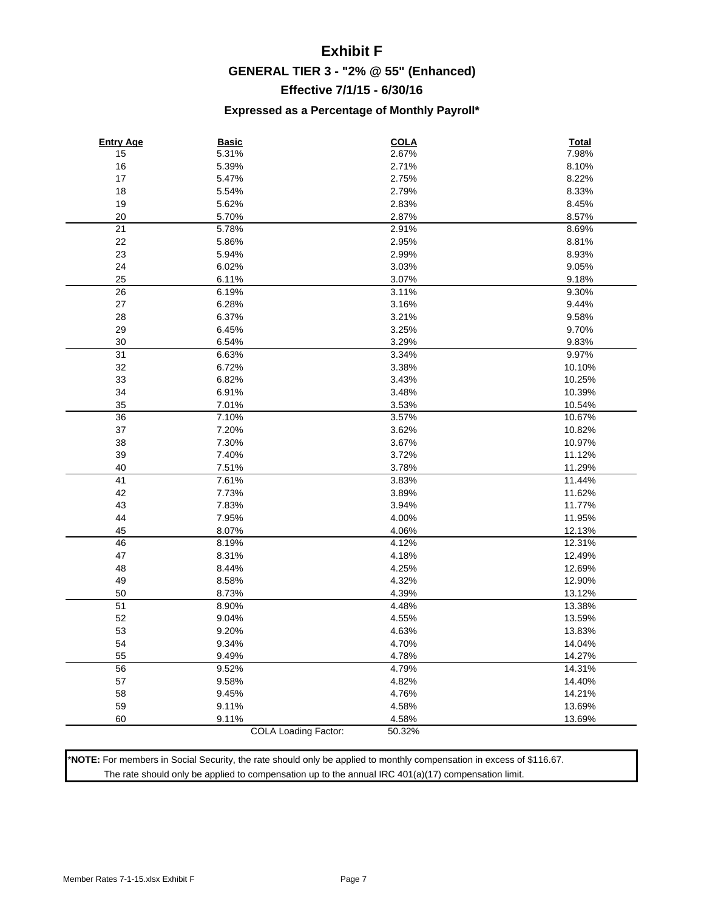## **Exhibit F GENERAL TIER 3 - "2% @ 55" (Enhanced) Effective 7/1/15 - 6/30/16**

#### **Expressed as a Percentage of Monthly Payroll\***

| <b>Entry Age</b> | <b>Basic</b>                | <b>COLA</b>    | <b>Total</b> |
|------------------|-----------------------------|----------------|--------------|
| 15               | 5.31%                       | 2.67%          | 7.98%        |
| 16               | 5.39%                       | 2.71%          | 8.10%        |
| 17               | 5.47%                       | 2.75%          | 8.22%        |
| 18               | 5.54%                       | 2.79%          | 8.33%        |
| 19               | 5.62%                       | 2.83%          | 8.45%        |
| 20               | 5.70%                       | 2.87%          | 8.57%        |
| 21               | 5.78%                       | 2.91%          | 8.69%        |
| 22               | 5.86%                       | 2.95%          | 8.81%        |
| 23               | 5.94%                       | 2.99%          | 8.93%        |
| 24               | 6.02%                       | 3.03%          | 9.05%        |
| 25               | 6.11%                       | 3.07%          | 9.18%        |
| 26               | 6.19%                       | 3.11%          | 9.30%        |
| 27               | 6.28%                       | 3.16%          | 9.44%        |
| 28               | 6.37%                       | 3.21%          | 9.58%        |
| 29               | 6.45%                       | 3.25%          | 9.70%        |
| 30               | 6.54%                       | 3.29%          | 9.83%        |
| 31               | 6.63%                       | 3.34%          | 9.97%        |
| 32               | 6.72%                       | 3.38%          | 10.10%       |
| 33               | 6.82%                       | 3.43%          | 10.25%       |
| 34               | 6.91%                       | 3.48%          | 10.39%       |
| 35               | 7.01%                       | 3.53%          | 10.54%       |
| 36               | 7.10%                       | 3.57%          | 10.67%       |
| 37               | 7.20%                       | 3.62%          | 10.82%       |
| 38               | 7.30%                       | 3.67%          | 10.97%       |
| 39               | 7.40%                       | 3.72%          | 11.12%       |
| 40               | 7.51%                       | 3.78%          | 11.29%       |
| 41               | 7.61%                       | 3.83%          | 11.44%       |
| 42               | 7.73%                       | 3.89%          | 11.62%       |
| 43               | 7.83%                       | 3.94%          | 11.77%       |
| 44               | 7.95%                       | 4.00%          | 11.95%       |
| 45               | 8.07%                       | 4.06%          | 12.13%       |
| 46               | 8.19%                       | 4.12%          | 12.31%       |
| 47               | 8.31%                       | 4.18%          | 12.49%       |
| 48               | 8.44%                       | 4.25%          | 12.69%       |
| 49               | 8.58%                       | 4.32%          | 12.90%       |
| 50               | 8.73%                       | 4.39%          | 13.12%       |
| 51               | 8.90%                       | 4.48%          | 13.38%       |
| 52               | 9.04%                       | 4.55%          | 13.59%       |
| 53               | 9.20%                       | 4.63%          | 13.83%       |
| 54               |                             | 4.70%          |              |
|                  | 9.34%                       |                | 14.04%       |
| 55<br>56         | 9.49%                       | 4.78%<br>4.79% | 14.27%       |
|                  | 9.52%                       |                | 14.31%       |
| 57               | 9.58%                       | 4.82%          | 14.40%       |
| 58               | 9.45%                       | 4.76%          | 14.21%       |
| 59               | 9.11%                       | 4.58%          | 13.69%       |
| 60               | 9.11%                       | 4.58%          | 13.69%       |
|                  | <b>COLA Loading Factor:</b> | 50.32%         |              |

\***NOTE:** For members in Social Security, the rate should only be applied to monthly compensation in excess of \$116.67. The rate should only be applied to compensation up to the annual IRC 401(a)(17) compensation limit.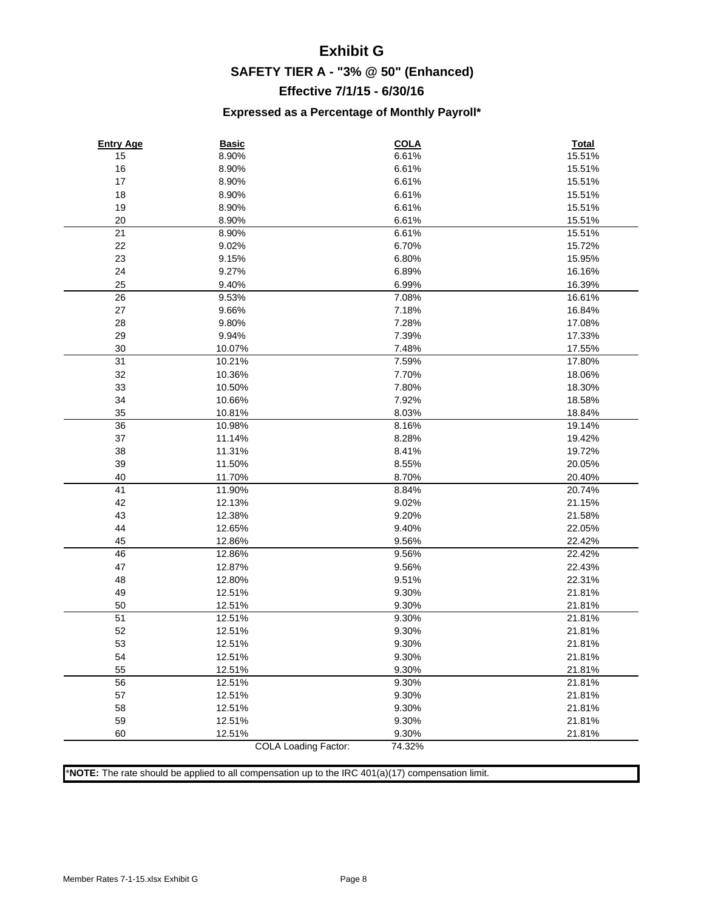## **Exhibit G SAFETY TIER A - "3% @ 50" (Enhanced) Effective 7/1/15 - 6/30/16**

#### **Expressed as a Percentage of Monthly Payroll\***

| <b>Entry Age</b> | <b>Basic</b>                | <b>COLA</b> | Total  |
|------------------|-----------------------------|-------------|--------|
| 15               | 8.90%                       | 6.61%       | 15.51% |
| 16               | 8.90%                       | 6.61%       | 15.51% |
| 17               | 8.90%                       | 6.61%       | 15.51% |
| 18               | 8.90%                       | 6.61%       | 15.51% |
| 19               | 8.90%                       | 6.61%       | 15.51% |
| 20               | 8.90%                       | 6.61%       | 15.51% |
| 21               | 8.90%                       | 6.61%       | 15.51% |
| 22               | 9.02%                       | 6.70%       | 15.72% |
| 23               | 9.15%                       | 6.80%       | 15.95% |
| 24               | 9.27%                       | 6.89%       | 16.16% |
| 25               | 9.40%                       | 6.99%       | 16.39% |
| 26               | 9.53%                       | 7.08%       | 16.61% |
| 27               | 9.66%                       | 7.18%       | 16.84% |
| 28               | 9.80%                       | 7.28%       | 17.08% |
| 29               | 9.94%                       | 7.39%       | 17.33% |
| 30               | 10.07%                      | 7.48%       | 17.55% |
| 31               | 10.21%                      | 7.59%       | 17.80% |
| 32               | 10.36%                      | 7.70%       | 18.06% |
| 33               | 10.50%                      | 7.80%       | 18.30% |
| 34               | 10.66%                      | 7.92%       | 18.58% |
| 35               | 10.81%                      | 8.03%       | 18.84% |
| 36               | 10.98%                      | 8.16%       | 19.14% |
| 37               | 11.14%                      | 8.28%       | 19.42% |
| 38               | 11.31%                      | 8.41%       | 19.72% |
| 39               | 11.50%                      | 8.55%       | 20.05% |
| 40               | 11.70%                      | 8.70%       | 20.40% |
| 41               | 11.90%                      | 8.84%       | 20.74% |
| 42               | 12.13%                      | 9.02%       | 21.15% |
| 43               | 12.38%                      | 9.20%       | 21.58% |
| 44               | 12.65%                      | 9.40%       | 22.05% |
| 45               | 12.86%                      | 9.56%       | 22.42% |
| 46               | 12.86%                      | 9.56%       | 22.42% |
| 47               | 12.87%                      | 9.56%       | 22.43% |
| 48               | 12.80%                      | 9.51%       | 22.31% |
| 49               | 12.51%                      | 9.30%       | 21.81% |
| 50               | 12.51%                      | 9.30%       | 21.81% |
| 51               | 12.51%                      | 9.30%       | 21.81% |
| 52               | 12.51%                      | 9.30%       | 21.81% |
| 53               | 12.51%                      | 9.30%       | 21.81% |
| 54               | 12.51%                      | 9.30%       | 21.81% |
| 55               | 12.51%                      | 9.30%       | 21.81% |
| 56               | 12.51%                      | 9.30%       | 21.81% |
| 57               | 12.51%                      | 9.30%       | 21.81% |
| 58               | 12.51%                      | 9.30%       | 21.81% |
| 59               | 12.51%                      | 9.30%       | 21.81% |
| 60               | 12.51%                      | 9.30%       | 21.81% |
|                  | <b>COLA Loading Factor:</b> | 74.32%      |        |

\***NOTE:** The rate should be applied to all compensation up to the IRC 401(a)(17) compensation limit.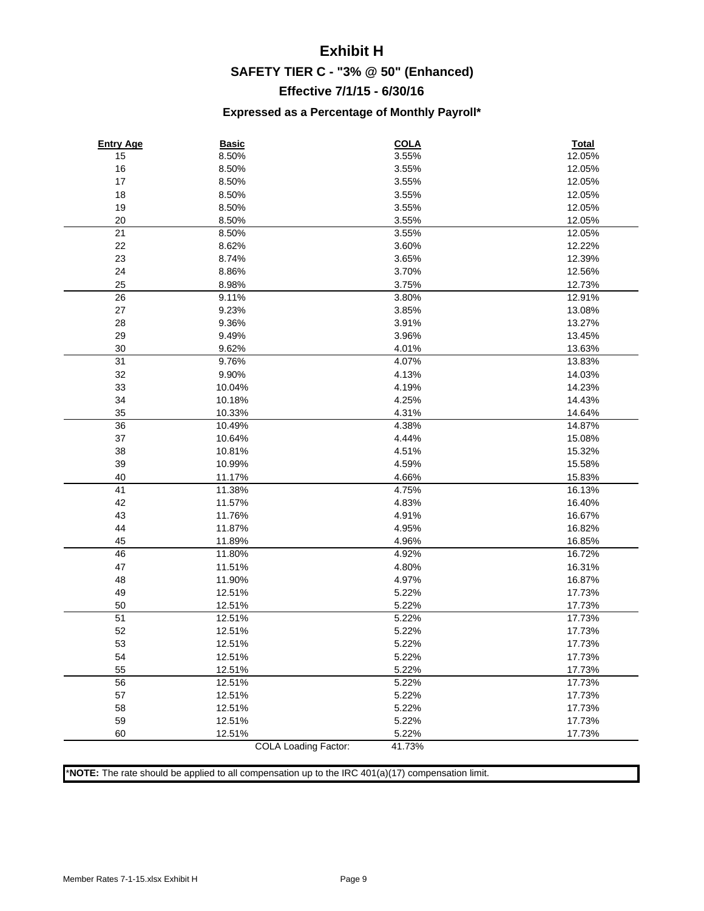## **Exhibit H SAFETY TIER C - "3% @ 50" (Enhanced) Effective 7/1/15 - 6/30/16**

#### **Expressed as a Percentage of Monthly Payroll\***

| <b>Entry Age</b> | <b>Basic</b>         | <b>COLA</b> | <b>Total</b> |
|------------------|----------------------|-------------|--------------|
| 15               | 8.50%                | 3.55%       | 12.05%       |
| 16               | 8.50%                | 3.55%       | 12.05%       |
| 17               | 8.50%                | 3.55%       | 12.05%       |
| 18               | 8.50%                | 3.55%       | 12.05%       |
| 19               | 8.50%                | 3.55%       | 12.05%       |
| 20               | 8.50%                | 3.55%       | 12.05%       |
| 21               | 8.50%                | 3.55%       | 12.05%       |
| 22               | 8.62%                | 3.60%       | 12.22%       |
| 23               | 8.74%                | 3.65%       | 12.39%       |
| 24               | 8.86%                | 3.70%       | 12.56%       |
| 25               | 8.98%                | 3.75%       | 12.73%       |
| 26               | 9.11%                | 3.80%       | 12.91%       |
| 27               | 9.23%                | 3.85%       | 13.08%       |
| 28               | 9.36%                | 3.91%       | 13.27%       |
| 29               | 9.49%                | 3.96%       | 13.45%       |
| 30               | 9.62%                | 4.01%       | 13.63%       |
| 31               | 9.76%                | 4.07%       | 13.83%       |
| 32               | 9.90%                | 4.13%       | 14.03%       |
| 33               | 10.04%               | 4.19%       | 14.23%       |
| 34               | 10.18%               | 4.25%       | 14.43%       |
| 35               | 10.33%               | 4.31%       | 14.64%       |
| 36               | 10.49%               | 4.38%       | 14.87%       |
| 37               | 10.64%               | 4.44%       | 15.08%       |
| 38               | 10.81%               | 4.51%       | 15.32%       |
| 39               | 10.99%               | 4.59%       | 15.58%       |
| 40               | 11.17%               | 4.66%       | 15.83%       |
| 41               | 11.38%               | 4.75%       | 16.13%       |
| 42               | 11.57%               | 4.83%       | 16.40%       |
| 43               | 11.76%               | 4.91%       | 16.67%       |
| 44               | 11.87%               | 4.95%       | 16.82%       |
| 45               | 11.89%               | 4.96%       | 16.85%       |
| 46               | 11.80%               | 4.92%       | 16.72%       |
| 47               | 11.51%               | 4.80%       | 16.31%       |
| 48               | 11.90%               | 4.97%       | 16.87%       |
| 49               | 12.51%               | 5.22%       | 17.73%       |
| 50               | 12.51%               | 5.22%       | 17.73%       |
| 51               | 12.51%               | 5.22%       | 17.73%       |
| 52               | 12.51%               | 5.22%       | 17.73%       |
| 53               | 12.51%               | 5.22%       | 17.73%       |
| 54               | 12.51%               | 5.22%       | 17.73%       |
| 55               | 12.51%               | 5.22%       | 17.73%       |
| 56               | 12.51%               | 5.22%       | 17.73%       |
| 57               | 12.51%               | 5.22%       | 17.73%       |
| 58               | 12.51%               | 5.22%       | 17.73%       |
| 59               | 12.51%               | 5.22%       | 17.73%       |
| 60               | 12.51%               | 5.22%       | 17.73%       |
|                  | COLA Loading Factor: | 41.73%      |              |

\***NOTE:** The rate should be applied to all compensation up to the IRC 401(a)(17) compensation limit.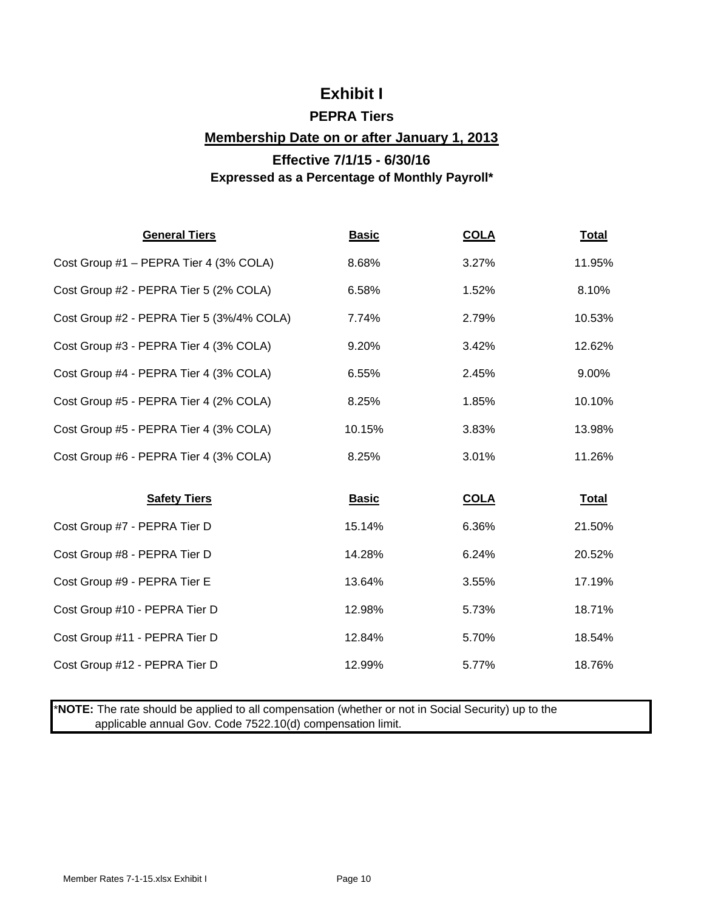## **Exhibit I**

### **PEPRA Tiers**

#### **Membership Date on or after January 1, 2013**

### **Effective 7/1/15 - 6/30/16 Expressed as a Percentage of Monthly Payroll\***

| <b>General Tiers</b>                      | <b>Basic</b> | <b>COLA</b> | <b>Total</b> |
|-------------------------------------------|--------------|-------------|--------------|
| Cost Group #1 - PEPRA Tier 4 (3% COLA)    | 8.68%        | 3.27%       | 11.95%       |
| Cost Group #2 - PEPRA Tier 5 (2% COLA)    | 6.58%        | 1.52%       | 8.10%        |
| Cost Group #2 - PEPRA Tier 5 (3%/4% COLA) | 7.74%        | 2.79%       | 10.53%       |
| Cost Group #3 - PEPRA Tier 4 (3% COLA)    | 9.20%        | 3.42%       | 12.62%       |
| Cost Group #4 - PEPRA Tier 4 (3% COLA)    | 6.55%        | 2.45%       | 9.00%        |
| Cost Group #5 - PEPRA Tier 4 (2% COLA)    | 8.25%        | 1.85%       | 10.10%       |
| Cost Group #5 - PEPRA Tier 4 (3% COLA)    | 10.15%       | 3.83%       | 13.98%       |
| Cost Group #6 - PEPRA Tier 4 (3% COLA)    | 8.25%        | 3.01%       | 11.26%       |
|                                           |              |             |              |
| <b>Safety Tiers</b>                       | <b>Basic</b> | <b>COLA</b> | <b>Total</b> |
| Cost Group #7 - PEPRA Tier D              | 15.14%       | 6.36%       | 21.50%       |
| Cost Group #8 - PEPRA Tier D              | 14.28%       | 6.24%       | 20.52%       |
| Cost Group #9 - PEPRA Tier E              | 13.64%       | 3.55%       | 17.19%       |
| Cost Group #10 - PEPRA Tier D             | 12.98%       | 5.73%       | 18.71%       |
| Cost Group #11 - PEPRA Tier D             | 12.84%       | 5.70%       | 18.54%       |
| Cost Group #12 - PEPRA Tier D             | 12.99%       | 5.77%       | 18.76%       |

\***NOTE:** The rate should be applied to all compensation (whether or not in Social Security) up to the applicable annual Gov. Code 7522.10(d) compensation limit.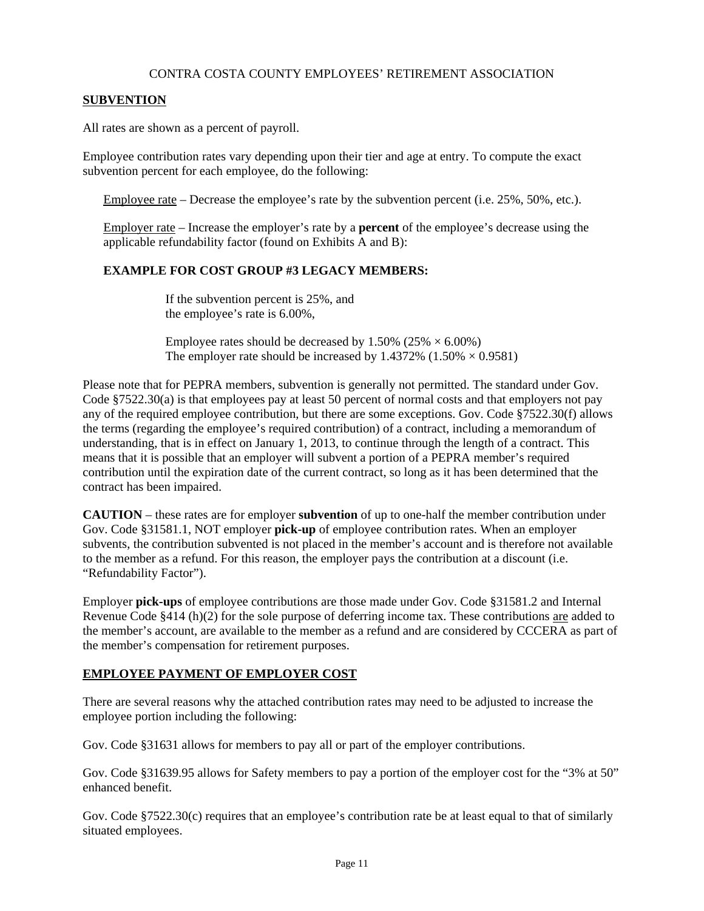#### CONTRA COSTA COUNTY EMPLOYEES' RETIREMENT ASSOCIATION

#### **SUBVENTION**

All rates are shown as a percent of payroll.

Employee contribution rates vary depending upon their tier and age at entry. To compute the exact subvention percent for each employee, do the following:

Employee rate – Decrease the employee's rate by the subvention percent (i.e. 25%, 50%, etc.).

Employer rate – Increase the employer's rate by a **percent** of the employee's decrease using the applicable refundability factor (found on Exhibits A and B):

#### **EXAMPLE FOR COST GROUP #3 LEGACY MEMBERS:**

If the subvention percent is 25%, and the employee's rate is 6.00%,

Employee rates should be decreased by  $1.50\%$  (25%  $\times$  6.00%) The employer rate should be increased by 1.4372%  $(1.50\% \times 0.9581)$ 

Please note that for PEPRA members, subvention is generally not permitted. The standard under Gov. Code §7522.30(a) is that employees pay at least 50 percent of normal costs and that employers not pay any of the required employee contribution, but there are some exceptions. Gov. Code §7522.30(f) allows the terms (regarding the employee's required contribution) of a contract, including a memorandum of understanding, that is in effect on January 1, 2013, to continue through the length of a contract. This means that it is possible that an employer will subvent a portion of a PEPRA member's required contribution until the expiration date of the current contract, so long as it has been determined that the contract has been impaired.

**CAUTION** – these rates are for employer **subvention** of up to one-half the member contribution under Gov. Code §31581.1, NOT employer **pick-up** of employee contribution rates. When an employer subvents, the contribution subvented is not placed in the member's account and is therefore not available to the member as a refund. For this reason, the employer pays the contribution at a discount (i.e. "Refundability Factor").

Employer **pick-ups** of employee contributions are those made under Gov. Code §31581.2 and Internal Revenue Code §414 (h)(2) for the sole purpose of deferring income tax. These contributions are added to the member's account, are available to the member as a refund and are considered by CCCERA as part of the member's compensation for retirement purposes.

#### **EMPLOYEE PAYMENT OF EMPLOYER COST**

There are several reasons why the attached contribution rates may need to be adjusted to increase the employee portion including the following:

Gov. Code §31631 allows for members to pay all or part of the employer contributions.

Gov. Code §31639.95 allows for Safety members to pay a portion of the employer cost for the "3% at 50" enhanced benefit.

Gov. Code §7522.30(c) requires that an employee's contribution rate be at least equal to that of similarly situated employees.